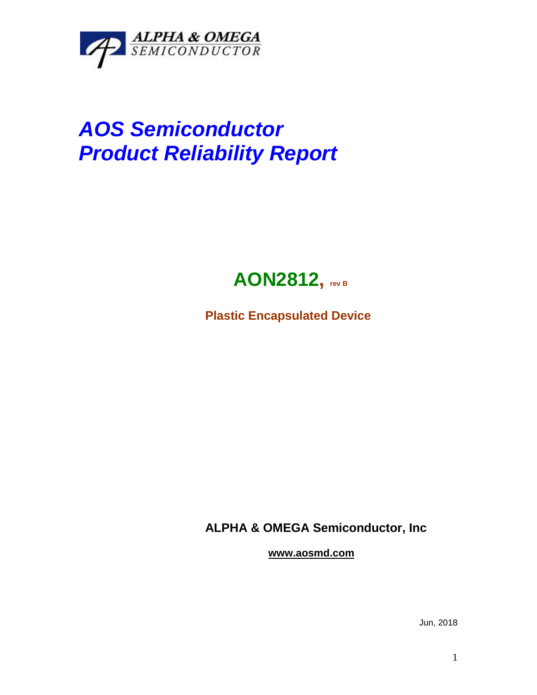

## *AOS Semiconductor Product Reliability Report*



**Plastic Encapsulated Device**

**ALPHA & OMEGA Semiconductor, Inc**

**www.aosmd.com**

Jun, 2018